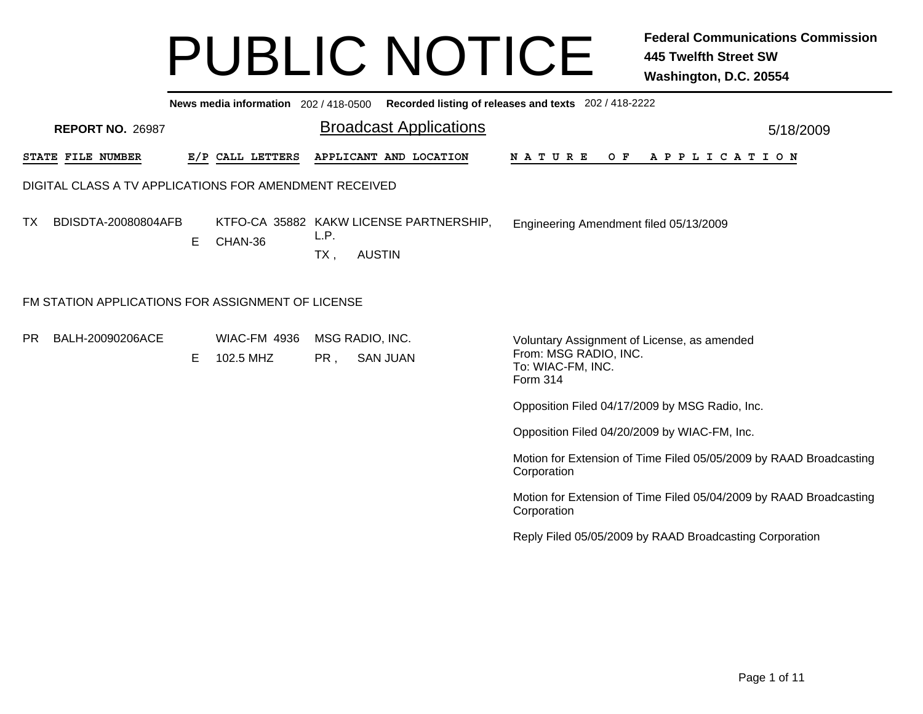|                                                        |                                       | News media information 202 / 418-0500 Recorded listing of releases and texts 202 / 418-2222 |                                                                                                       |
|--------------------------------------------------------|---------------------------------------|---------------------------------------------------------------------------------------------|-------------------------------------------------------------------------------------------------------|
| <b>REPORT NO. 26987</b>                                |                                       | <b>Broadcast Applications</b>                                                               | 5/18/2009                                                                                             |
| <b>STATE FILE NUMBER</b>                               | E/P CALL LETTERS                      | APPLICANT AND LOCATION                                                                      | N A T U R E<br>OF APPLICATION                                                                         |
| DIGITAL CLASS A TV APPLICATIONS FOR AMENDMENT RECEIVED |                                       |                                                                                             |                                                                                                       |
| BDISDTA-20080804AFB<br>TX                              | CHAN-36<br>E                          | KTFO-CA 35882 KAKW LICENSE PARTNERSHIP,<br>L.P.<br><b>AUSTIN</b><br>TX,                     | Engineering Amendment filed 05/13/2009                                                                |
| FM STATION APPLICATIONS FOR ASSIGNMENT OF LICENSE      |                                       |                                                                                             |                                                                                                       |
| PR<br>BALH-20090206ACE                                 | <b>WIAC-FM 4936</b><br>102.5 MHZ<br>E | MSG RADIO, INC.<br><b>SAN JUAN</b><br>PR,                                                   | Voluntary Assignment of License, as amended<br>From: MSG RADIO, INC.<br>To: WIAC-FM, INC.<br>Form 314 |
|                                                        |                                       |                                                                                             | Opposition Filed 04/17/2009 by MSG Radio, Inc.                                                        |
|                                                        |                                       |                                                                                             | Opposition Filed 04/20/2009 by WIAC-FM, Inc.                                                          |
|                                                        |                                       |                                                                                             | Motion for Extension of Time Filed 05/05/2009 by RAAD Broadcasting<br>Corporation                     |
|                                                        |                                       |                                                                                             | Motion for Extension of Time Filed 05/04/2009 by RAAD Broadcasting<br>Corporation                     |
|                                                        |                                       |                                                                                             | Reply Filed 05/05/2009 by RAAD Broadcasting Corporation                                               |
|                                                        |                                       |                                                                                             |                                                                                                       |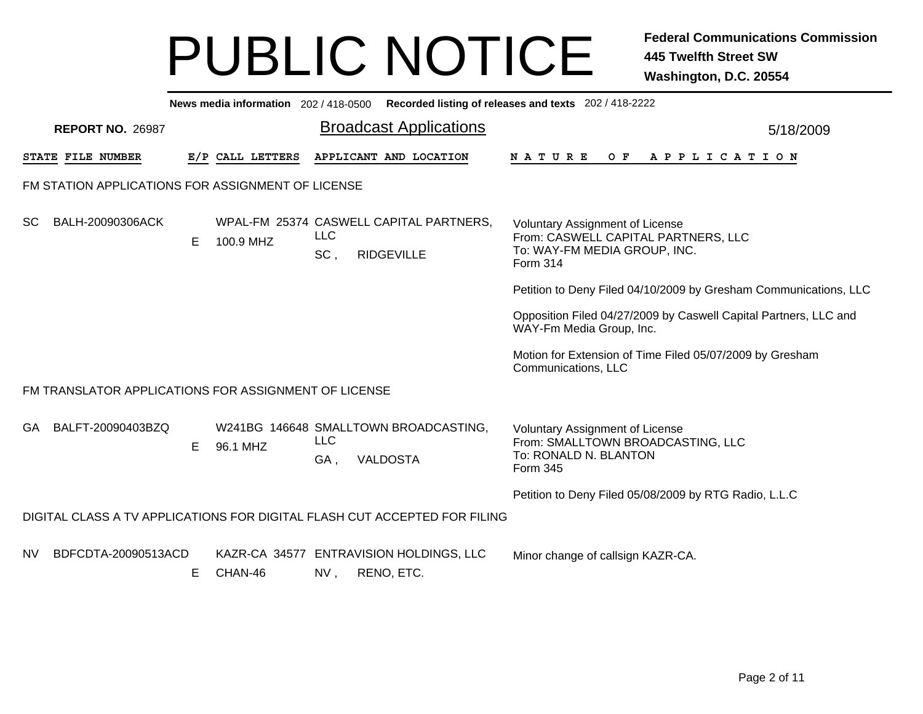|    |                                                      |   |                  |                   | News media information 202 / 418-0500 Recorded listing of releases and texts 202 / 418-2222 |                                                                                                                           |           |
|----|------------------------------------------------------|---|------------------|-------------------|---------------------------------------------------------------------------------------------|---------------------------------------------------------------------------------------------------------------------------|-----------|
|    | <b>REPORT NO. 26987</b>                              |   |                  |                   | <b>Broadcast Applications</b>                                                               |                                                                                                                           | 5/18/2009 |
|    | <b>STATE FILE NUMBER</b>                             |   | E/P CALL LETTERS |                   | APPLICANT AND LOCATION                                                                      | <b>NATURE</b><br>OF APPLICATION                                                                                           |           |
|    | FM STATION APPLICATIONS FOR ASSIGNMENT OF LICENSE    |   |                  |                   |                                                                                             |                                                                                                                           |           |
| SC | BALH-20090306ACK                                     | Е | 100.9 MHZ        | <b>LLC</b><br>SC, | WPAL-FM 25374 CASWELL CAPITAL PARTNERS,<br><b>RIDGEVILLE</b>                                | <b>Voluntary Assignment of License</b><br>From: CASWELL CAPITAL PARTNERS, LLC<br>To: WAY-FM MEDIA GROUP, INC.<br>Form 314 |           |
|    |                                                      |   |                  |                   |                                                                                             | Petition to Deny Filed 04/10/2009 by Gresham Communications, LLC                                                          |           |
|    |                                                      |   |                  |                   |                                                                                             | Opposition Filed 04/27/2009 by Caswell Capital Partners, LLC and<br>WAY-Fm Media Group, Inc.                              |           |
|    |                                                      |   |                  |                   |                                                                                             | Motion for Extension of Time Filed 05/07/2009 by Gresham<br>Communications, LLC                                           |           |
|    | FM TRANSLATOR APPLICATIONS FOR ASSIGNMENT OF LICENSE |   |                  |                   |                                                                                             |                                                                                                                           |           |
| GA | BALFT-20090403BZQ                                    | E | 96.1 MHZ         | <b>LLC</b><br>GA, | W241BG 146648 SMALLTOWN BROADCASTING,<br><b>VALDOSTA</b>                                    | <b>Voluntary Assignment of License</b><br>From: SMALLTOWN BROADCASTING, LLC<br>To: RONALD N. BLANTON<br>Form 345          |           |
|    |                                                      |   |                  |                   |                                                                                             | Petition to Deny Filed 05/08/2009 by RTG Radio, L.L.C                                                                     |           |
|    |                                                      |   |                  |                   | DIGITAL CLASS A TV APPLICATIONS FOR DIGITAL FLASH CUT ACCEPTED FOR FILING                   |                                                                                                                           |           |
| NV | BDFCDTA-20090513ACD                                  | Е | CHAN-46          | NV,               | KAZR-CA 34577 ENTRAVISION HOLDINGS, LLC<br>RENO, ETC.                                       | Minor change of callsign KAZR-CA.                                                                                         |           |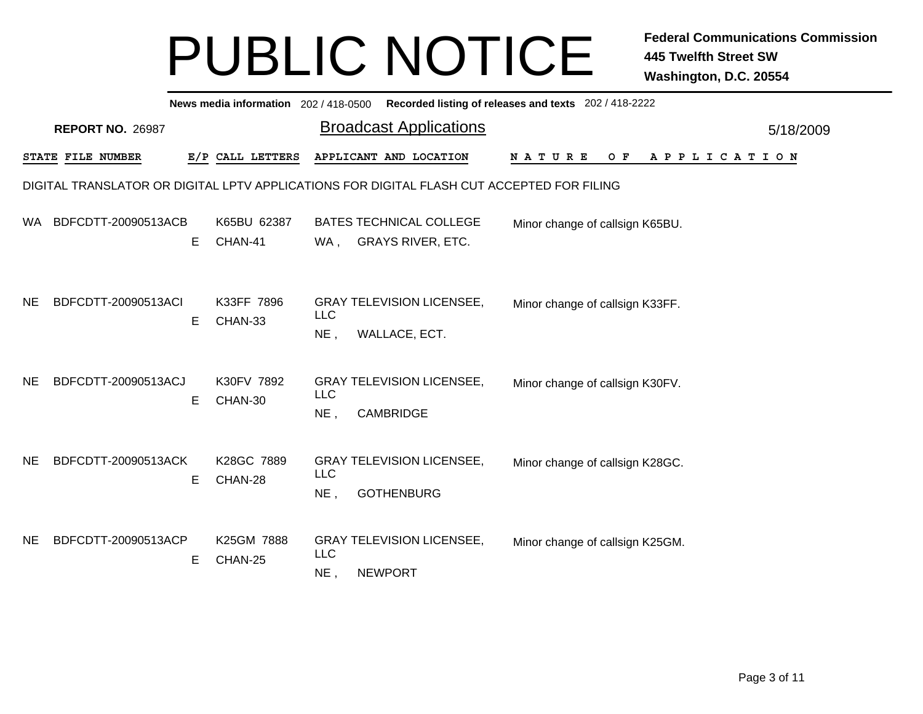|           | News media information 202/418-0500 Recorded listing of releases and texts 202/418-2222 |    |                        |                      |                                                                                           |                                                   |  |  |  |  |  |
|-----------|-----------------------------------------------------------------------------------------|----|------------------------|----------------------|-------------------------------------------------------------------------------------------|---------------------------------------------------|--|--|--|--|--|
|           | <b>REPORT NO. 26987</b>                                                                 |    |                        |                      | <b>Broadcast Applications</b>                                                             | 5/18/2009                                         |  |  |  |  |  |
|           | STATE FILE NUMBER                                                                       |    | E/P CALL LETTERS       |                      | APPLICANT AND LOCATION                                                                    | <b>NATURE</b><br>$O$ $F$<br>A P P L I C A T I O N |  |  |  |  |  |
|           |                                                                                         |    |                        |                      | DIGITAL TRANSLATOR OR DIGITAL LPTV APPLICATIONS FOR DIGITAL FLASH CUT ACCEPTED FOR FILING |                                                   |  |  |  |  |  |
| WA.       | BDFCDTT-20090513ACB                                                                     | E. | K65BU 62387<br>CHAN-41 | WA,                  | <b>BATES TECHNICAL COLLEGE</b><br><b>GRAYS RIVER, ETC.</b>                                | Minor change of callsign K65BU.                   |  |  |  |  |  |
| <b>NE</b> | BDFCDTT-20090513ACI                                                                     | E. | K33FF 7896<br>CHAN-33  | <b>LLC</b><br>$NE$ , | <b>GRAY TELEVISION LICENSEE,</b><br>WALLACE, ECT.                                         | Minor change of callsign K33FF.                   |  |  |  |  |  |
| <b>NE</b> | BDFCDTT-20090513ACJ                                                                     | Е  | K30FV 7892<br>CHAN-30  | <b>LLC</b><br>NE,    | <b>GRAY TELEVISION LICENSEE,</b><br><b>CAMBRIDGE</b>                                      | Minor change of callsign K30FV.                   |  |  |  |  |  |
| NE.       | BDFCDTT-20090513ACK                                                                     | E. | K28GC 7889<br>CHAN-28  | <b>LLC</b><br>$NE$ , | <b>GRAY TELEVISION LICENSEE,</b><br><b>GOTHENBURG</b>                                     | Minor change of callsign K28GC.                   |  |  |  |  |  |
| NE.       | BDFCDTT-20090513ACP                                                                     | Е  | K25GM 7888<br>CHAN-25  | <b>LLC</b><br>NE,    | <b>GRAY TELEVISION LICENSEE,</b><br><b>NEWPORT</b>                                        | Minor change of callsign K25GM.                   |  |  |  |  |  |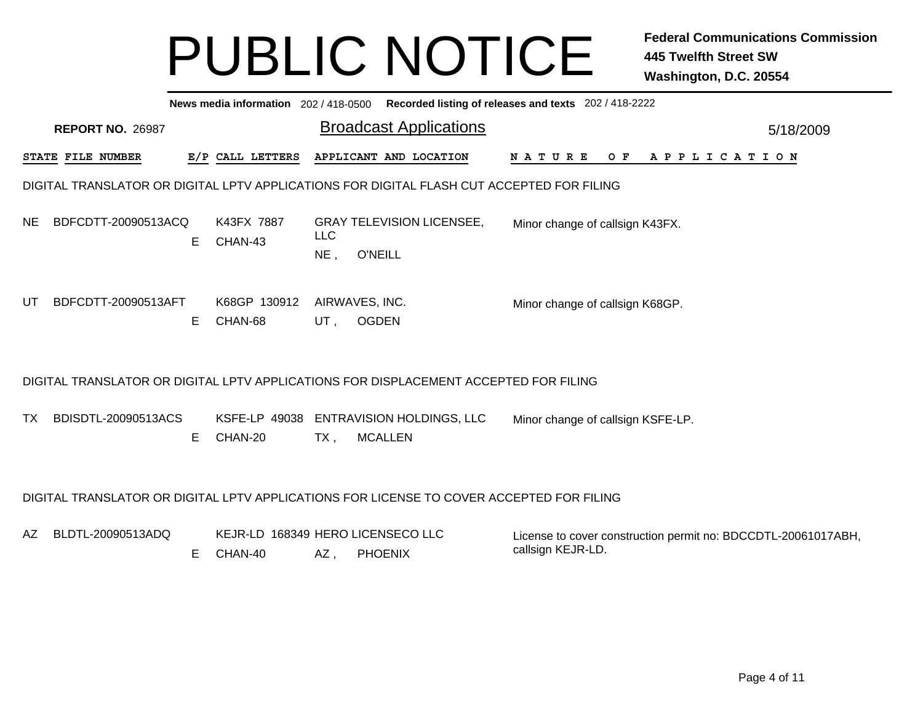|     |                                                                                          |    |                                              |                      | News media information 202/418-0500 Recorded listing of releases and texts 202/418-2222   |                                                                                    |  |  |  |  |  |  |                |           |  |
|-----|------------------------------------------------------------------------------------------|----|----------------------------------------------|----------------------|-------------------------------------------------------------------------------------------|------------------------------------------------------------------------------------|--|--|--|--|--|--|----------------|-----------|--|
|     | <b>REPORT NO. 26987</b>                                                                  |    |                                              |                      | <b>Broadcast Applications</b>                                                             |                                                                                    |  |  |  |  |  |  |                | 5/18/2009 |  |
|     | STATE FILE NUMBER                                                                        |    | E/P CALL LETTERS                             |                      | APPLICANT AND LOCATION                                                                    | <b>NATURE</b>                                                                      |  |  |  |  |  |  | OF APPLICATION |           |  |
|     |                                                                                          |    |                                              |                      | DIGITAL TRANSLATOR OR DIGITAL LPTV APPLICATIONS FOR DIGITAL FLASH CUT ACCEPTED FOR FILING |                                                                                    |  |  |  |  |  |  |                |           |  |
| NE. | BDFCDTT-20090513ACQ                                                                      | Е  | K43FX 7887<br>CHAN-43                        | <b>LLC</b><br>$NE$ , | <b>GRAY TELEVISION LICENSEE,</b><br><b>O'NEILL</b>                                        | Minor change of callsign K43FX.                                                    |  |  |  |  |  |  |                |           |  |
| UT  | BDFCDTT-20090513AFT                                                                      | E  | K68GP 130912<br>CHAN-68                      | UT,                  | AIRWAVES, INC.<br><b>OGDEN</b>                                                            | Minor change of callsign K68GP.                                                    |  |  |  |  |  |  |                |           |  |
|     |                                                                                          |    |                                              |                      | DIGITAL TRANSLATOR OR DIGITAL LPTV APPLICATIONS FOR DISPLACEMENT ACCEPTED FOR FILING      |                                                                                    |  |  |  |  |  |  |                |           |  |
| TX  | BDISDTL-20090513ACS                                                                      | E  | CHAN-20                                      | TX,                  | KSFE-LP 49038 ENTRAVISION HOLDINGS, LLC<br><b>MCALLEN</b>                                 | Minor change of callsign KSFE-LP.                                                  |  |  |  |  |  |  |                |           |  |
|     | DIGITAL TRANSLATOR OR DIGITAL LPTV APPLICATIONS FOR LICENSE TO COVER ACCEPTED FOR FILING |    |                                              |                      |                                                                                           |                                                                                    |  |  |  |  |  |  |                |           |  |
| AZ. | BLDTL-20090513ADQ                                                                        | E. | KEJR-LD 168349 HERO LICENSECO LLC<br>CHAN-40 | AZ,                  | <b>PHOENIX</b>                                                                            | License to cover construction permit no: BDCCDTL-20061017ABH,<br>callsign KEJR-LD. |  |  |  |  |  |  |                |           |  |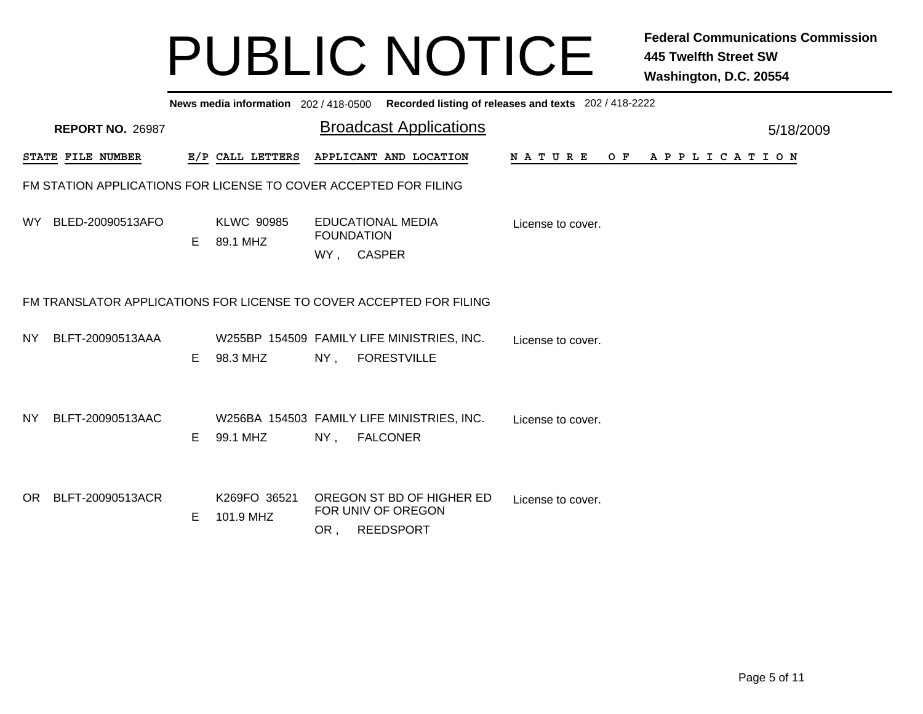|     | News media information 202/418-0500 Recorded listing of releases and texts 202/418-2222 |                         |    |                                                                  |                                 |  |                                                                     |                   |     |                       |           |
|-----|-----------------------------------------------------------------------------------------|-------------------------|----|------------------------------------------------------------------|---------------------------------|--|---------------------------------------------------------------------|-------------------|-----|-----------------------|-----------|
|     |                                                                                         | <b>REPORT NO. 26987</b> |    |                                                                  |                                 |  | <b>Broadcast Applications</b>                                       |                   |     |                       | 5/18/2009 |
|     | STATE FILE NUMBER                                                                       |                         |    | E/P CALL LETTERS                                                 |                                 |  | APPLICANT AND LOCATION                                              | <b>NATURE</b>     | O F | A P P L I C A T I O N |           |
|     |                                                                                         |                         |    | FM STATION APPLICATIONS FOR LICENSE TO COVER ACCEPTED FOR FILING |                                 |  |                                                                     |                   |     |                       |           |
| WY. |                                                                                         | BLED-20090513AFO        | E. | <b>KLWC 90985</b><br>89.1 MHZ                                    | <b>FOUNDATION</b><br>WY, CASPER |  | <b>EDUCATIONAL MEDIA</b>                                            | License to cover. |     |                       |           |
|     | FM TRANSLATOR APPLICATIONS FOR LICENSE TO COVER ACCEPTED FOR FILING                     |                         |    |                                                                  |                                 |  |                                                                     |                   |     |                       |           |
| NY. |                                                                                         | BLFT-20090513AAA        | Е  | 98.3 MHZ                                                         | NY,                             |  | W255BP 154509 FAMILY LIFE MINISTRIES, INC.<br><b>FORESTVILLE</b>    | License to cover. |     |                       |           |
| NY. |                                                                                         | BLFT-20090513AAC        | E  | 99.1 MHZ                                                         | $NY$ .                          |  | W256BA 154503 FAMILY LIFE MINISTRIES, INC.<br><b>FALCONER</b>       | License to cover. |     |                       |           |
| OR. |                                                                                         | BLFT-20090513ACR        | E  | K269FO 36521<br>101.9 MHZ                                        | OR,                             |  | OREGON ST BD OF HIGHER ED<br>FOR UNIV OF OREGON<br><b>REEDSPORT</b> | License to cover. |     |                       |           |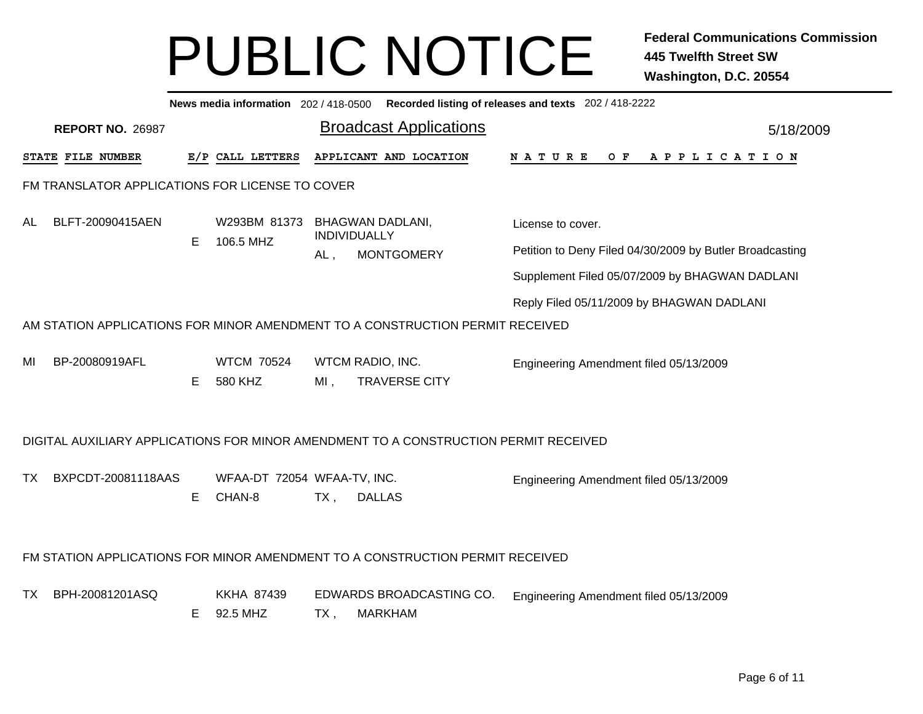|    |                                                 |   |                                       |        | News media information 202 / 418-0500 Recorded listing of releases and texts 202 / 418-2222 |                                                          |           |
|----|-------------------------------------------------|---|---------------------------------------|--------|---------------------------------------------------------------------------------------------|----------------------------------------------------------|-----------|
|    | <b>REPORT NO. 26987</b>                         |   |                                       |        | <b>Broadcast Applications</b>                                                               |                                                          | 5/18/2009 |
|    | <b>STATE FILE NUMBER</b>                        |   | E/P CALL LETTERS                      |        | APPLICANT AND LOCATION                                                                      | <b>NATURE</b><br>OF APPLICATION                          |           |
|    | FM TRANSLATOR APPLICATIONS FOR LICENSE TO COVER |   |                                       |        |                                                                                             |                                                          |           |
| AL | BLFT-20090415AEN                                |   | W293BM 81373                          |        | <b>BHAGWAN DADLANI,</b><br>INDIVIDUALLY                                                     | License to cover.                                        |           |
|    |                                                 | Е | 106.5 MHZ                             | AL,    | <b>MONTGOMERY</b>                                                                           | Petition to Deny Filed 04/30/2009 by Butler Broadcasting |           |
|    |                                                 |   |                                       |        |                                                                                             | Supplement Filed 05/07/2009 by BHAGWAN DADLANI           |           |
|    |                                                 |   |                                       |        |                                                                                             | Reply Filed 05/11/2009 by BHAGWAN DADLANI                |           |
|    |                                                 |   |                                       |        | AM STATION APPLICATIONS FOR MINOR AMENDMENT TO A CONSTRUCTION PERMIT RECEIVED               |                                                          |           |
| MI | BP-20080919AFL                                  | Е | <b>WTCM 70524</b><br>580 KHZ          | $MI$ , | WTCM RADIO, INC.<br><b>TRAVERSE CITY</b>                                                    | Engineering Amendment filed 05/13/2009                   |           |
|    |                                                 |   |                                       |        | DIGITAL AUXILIARY APPLICATIONS FOR MINOR AMENDMENT TO A CONSTRUCTION PERMIT RECEIVED        |                                                          |           |
| TX | BXPCDT-20081118AAS                              | E | WFAA-DT 72054 WFAA-TV, INC.<br>CHAN-8 | $TX$ , | <b>DALLAS</b>                                                                               | Engineering Amendment filed 05/13/2009                   |           |
|    |                                                 |   |                                       |        | FM STATION APPLICATIONS FOR MINOR AMENDMENT TO A CONSTRUCTION PERMIT RECEIVED               |                                                          |           |
| TX | BPH-20081201ASQ                                 | Е | <b>KKHA 87439</b><br>92.5 MHZ         | TX,    | EDWARDS BROADCASTING CO.<br><b>MARKHAM</b>                                                  | Engineering Amendment filed 05/13/2009                   |           |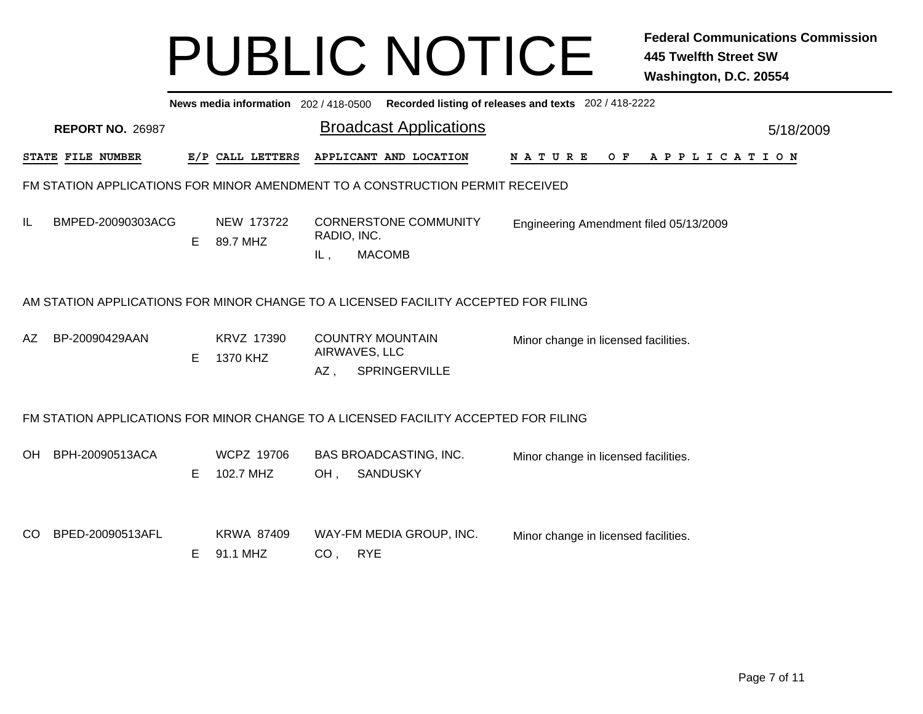|     | News media information 202 / 418-0500 Recorded listing of releases and texts 202 / 418-2222 |    |                                |                    |                                                                                     |                                               |  |  |  |  |  |
|-----|---------------------------------------------------------------------------------------------|----|--------------------------------|--------------------|-------------------------------------------------------------------------------------|-----------------------------------------------|--|--|--|--|--|
|     | <b>REPORT NO. 26987</b>                                                                     |    |                                |                    | <b>Broadcast Applications</b>                                                       | 5/18/2009                                     |  |  |  |  |  |
|     | STATE FILE NUMBER                                                                           |    | E/P CALL LETTERS               |                    | APPLICANT AND LOCATION                                                              | <b>NATURE</b><br>O F<br>A P P L I C A T I O N |  |  |  |  |  |
|     |                                                                                             |    |                                |                    | FM STATION APPLICATIONS FOR MINOR AMENDMENT TO A CONSTRUCTION PERMIT RECEIVED       |                                               |  |  |  |  |  |
| IL  | BMPED-20090303ACG                                                                           | E. | NEW 173722<br>89.7 MHZ         | RADIO, INC.<br>IL, | <b>CORNERSTONE COMMUNITY</b><br><b>MACOMB</b>                                       | Engineering Amendment filed 05/13/2009        |  |  |  |  |  |
|     | AM STATION APPLICATIONS FOR MINOR CHANGE TO A LICENSED FACILITY ACCEPTED FOR FILING         |    |                                |                    |                                                                                     |                                               |  |  |  |  |  |
| AZ  | BP-20090429AAN                                                                              | E. | KRVZ 17390<br>1370 KHZ         | AZ,                | <b>COUNTRY MOUNTAIN</b><br>AIRWAVES, LLC<br>SPRINGERVILLE                           | Minor change in licensed facilities.          |  |  |  |  |  |
|     |                                                                                             |    |                                |                    | FM STATION APPLICATIONS FOR MINOR CHANGE TO A LICENSED FACILITY ACCEPTED FOR FILING |                                               |  |  |  |  |  |
| OH  | BPH-20090513ACA                                                                             | E. | <b>WCPZ 19706</b><br>102.7 MHZ | OH.                | <b>BAS BROADCASTING, INC.</b><br><b>SANDUSKY</b>                                    | Minor change in licensed facilities.          |  |  |  |  |  |
| CO. | BPED-20090513AFL                                                                            | E. | <b>KRWA 87409</b><br>91.1 MHZ  | CO,                | WAY-FM MEDIA GROUP, INC.<br><b>RYE</b>                                              | Minor change in licensed facilities.          |  |  |  |  |  |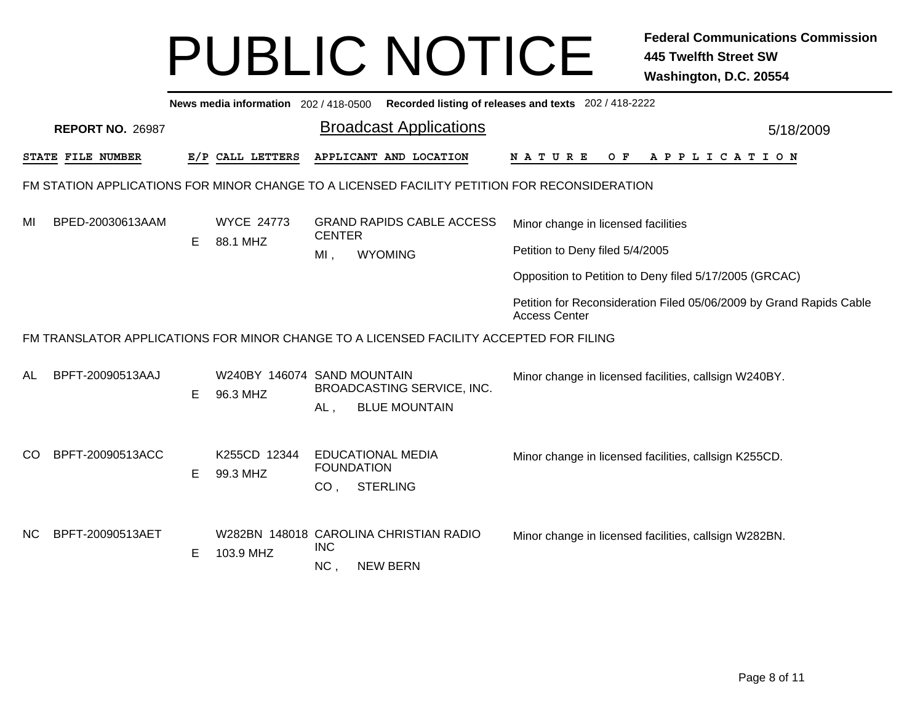|     | Recorded listing of releases and texts 202 / 418-2222<br>News media information 202 / 418-0500 |    |                                         |                                      |                                                                                              |                                                                                             |           |  |  |  |  |
|-----|------------------------------------------------------------------------------------------------|----|-----------------------------------------|--------------------------------------|----------------------------------------------------------------------------------------------|---------------------------------------------------------------------------------------------|-----------|--|--|--|--|
|     | <b>REPORT NO. 26987</b>                                                                        |    |                                         |                                      | <b>Broadcast Applications</b>                                                                |                                                                                             | 5/18/2009 |  |  |  |  |
|     | STATE FILE NUMBER                                                                              |    | E/P CALL LETTERS                        |                                      | APPLICANT AND LOCATION                                                                       | N A T U R E<br>OF APPLICATION                                                               |           |  |  |  |  |
|     |                                                                                                |    |                                         |                                      | FM STATION APPLICATIONS FOR MINOR CHANGE TO A LICENSED FACILITY PETITION FOR RECONSIDERATION |                                                                                             |           |  |  |  |  |
| MI  | BPED-20030613AAM                                                                               |    | <b>WYCE 24773</b>                       | <b>CENTER</b>                        | <b>GRAND RAPIDS CABLE ACCESS</b>                                                             | Minor change in licensed facilities                                                         |           |  |  |  |  |
|     |                                                                                                | E. | 88.1 MHZ                                | MI,                                  | <b>WYOMING</b>                                                                               | Petition to Deny filed 5/4/2005                                                             |           |  |  |  |  |
|     |                                                                                                |    |                                         |                                      |                                                                                              | Opposition to Petition to Deny filed 5/17/2005 (GRCAC)                                      |           |  |  |  |  |
|     |                                                                                                |    |                                         |                                      |                                                                                              | Petition for Reconsideration Filed 05/06/2009 by Grand Rapids Cable<br><b>Access Center</b> |           |  |  |  |  |
|     | FM TRANSLATOR APPLICATIONS FOR MINOR CHANGE TO A LICENSED FACILITY ACCEPTED FOR FILING         |    |                                         |                                      |                                                                                              |                                                                                             |           |  |  |  |  |
| AL  | BPFT-20090513AAJ                                                                               | E. | W240BY 146074 SAND MOUNTAIN<br>96.3 MHZ | $AL$ ,                               | <b>BROADCASTING SERVICE, INC.</b><br><b>BLUE MOUNTAIN</b>                                    | Minor change in licensed facilities, callsign W240BY.                                       |           |  |  |  |  |
| CO  | BPFT-20090513ACC                                                                               | E  | K255CD 12344<br>99.3 MHZ                | <b>FOUNDATION</b><br>CO <sub>1</sub> | <b>EDUCATIONAL MEDIA</b><br><b>STERLING</b>                                                  | Minor change in licensed facilities, callsign K255CD.                                       |           |  |  |  |  |
| NC. | BPFT-20090513AET                                                                               | E. | 103.9 MHZ                               | <b>INC</b><br>NC,                    | W282BN 148018 CAROLINA CHRISTIAN RADIO<br><b>NEW BERN</b>                                    | Minor change in licensed facilities, callsign W282BN.                                       |           |  |  |  |  |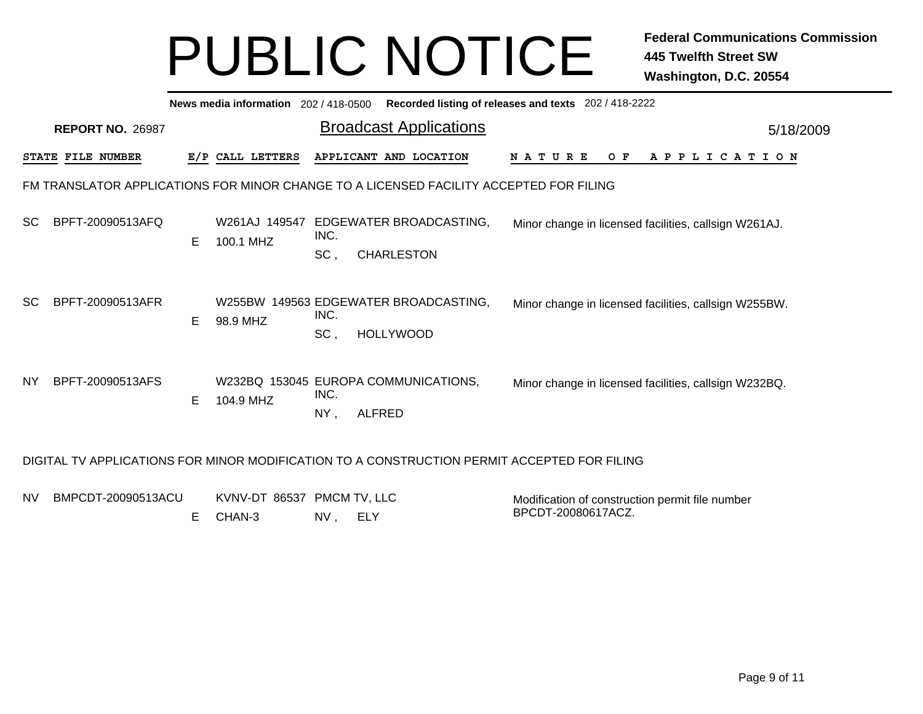|                                                                                             | News media information 202 / 418-0500<br>Recorded listing of releases and texts 202 / 418-2222 |                                                                           |                                                       |  |  |  |  |  |  |
|---------------------------------------------------------------------------------------------|------------------------------------------------------------------------------------------------|---------------------------------------------------------------------------|-------------------------------------------------------|--|--|--|--|--|--|
| <b>REPORT NO. 26987</b>                                                                     |                                                                                                | <b>Broadcast Applications</b>                                             | 5/18/2009                                             |  |  |  |  |  |  |
| STATE FILE NUMBER                                                                           | E/P CALL LETTERS                                                                               | APPLICANT AND LOCATION                                                    | <b>NATURE</b><br>O F<br>A P P L I C A T I O N         |  |  |  |  |  |  |
|                                                                                             | FM TRANSLATOR APPLICATIONS FOR MINOR CHANGE TO A LICENSED FACILITY ACCEPTED FOR FILING         |                                                                           |                                                       |  |  |  |  |  |  |
| BPFT-20090513AFQ<br><b>SC</b>                                                               | E.<br>100.1 MHZ                                                                                | W261AJ 149547 EDGEWATER BROADCASTING,<br>INC.<br>SC,<br><b>CHARLESTON</b> | Minor change in licensed facilities, callsign W261AJ. |  |  |  |  |  |  |
| BPFT-20090513AFR<br><b>SC</b>                                                               | E.<br>98.9 MHZ                                                                                 | W255BW 149563 EDGEWATER BROADCASTING,<br>INC.<br>SC,<br><b>HOLLYWOOD</b>  | Minor change in licensed facilities, callsign W255BW. |  |  |  |  |  |  |
| BPFT-20090513AFS<br>NY.                                                                     | E.<br>104.9 MHZ                                                                                | W232BQ 153045 EUROPA COMMUNICATIONS,<br>INC.<br><b>ALFRED</b><br>$NY$ ,   | Minor change in licensed facilities, callsign W232BQ. |  |  |  |  |  |  |
| DIGITAL TV APPLICATIONS FOR MINOR MODIFICATION TO A CONSTRUCTION PERMIT ACCEPTED FOR FILING |                                                                                                |                                                                           |                                                       |  |  |  |  |  |  |

| NV BMPCDT-20090513ACU | KVNV-DT 86537 PMCM TV, LLC |    |     | Modification of construction permit file number |
|-----------------------|----------------------------|----|-----|-------------------------------------------------|
|                       | E CHAN-3                   | NV | ELY | BPCDT-20080617ACZ.                              |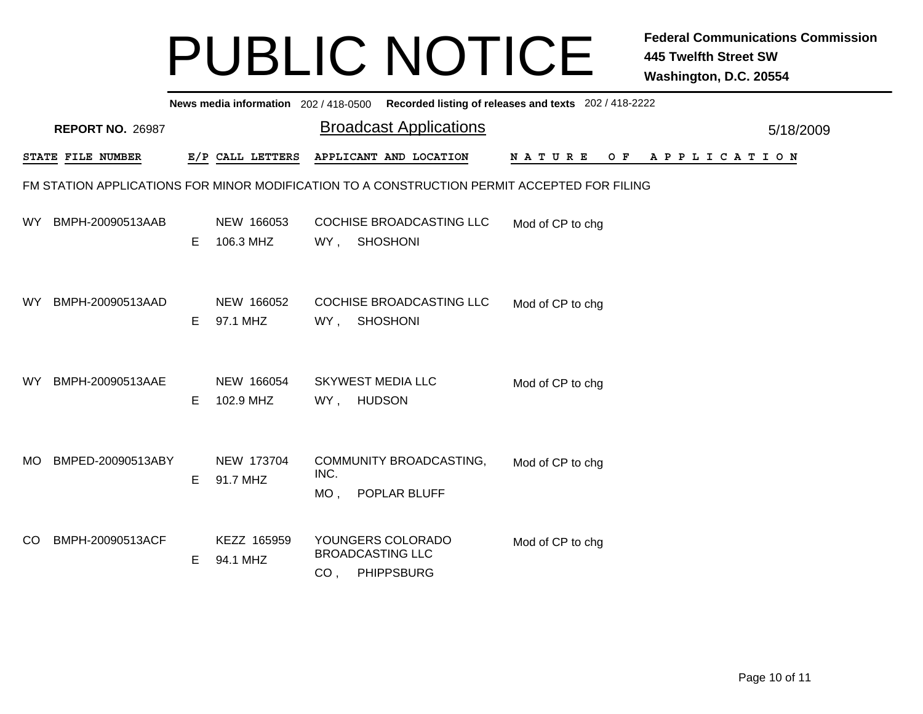|               | News media information 202/418-0500 Recorded listing of releases and texts 202/418-2222     |    |                         |                                                                                                          |           |  |  |  |  |  |  |
|---------------|---------------------------------------------------------------------------------------------|----|-------------------------|----------------------------------------------------------------------------------------------------------|-----------|--|--|--|--|--|--|
|               | <b>REPORT NO. 26987</b>                                                                     |    |                         | <b>Broadcast Applications</b>                                                                            | 5/18/2009 |  |  |  |  |  |  |
|               | STATE FILE NUMBER                                                                           |    | E/P CALL LETTERS        | APPLICANT AND LOCATION<br><b>NATURE</b><br>O F<br>A P P L I C A T I O N                                  |           |  |  |  |  |  |  |
|               | FM STATION APPLICATIONS FOR MINOR MODIFICATION TO A CONSTRUCTION PERMIT ACCEPTED FOR FILING |    |                         |                                                                                                          |           |  |  |  |  |  |  |
| WY.           | BMPH-20090513AAB                                                                            | E. | NEW 166053<br>106.3 MHZ | COCHISE BROADCASTING LLC<br>Mod of CP to chg<br><b>SHOSHONI</b><br>WY,                                   |           |  |  |  |  |  |  |
| WY.           | BMPH-20090513AAD                                                                            | E. | NEW 166052<br>97.1 MHZ  | COCHISE BROADCASTING LLC<br>Mod of CP to chg<br>WY,<br><b>SHOSHONI</b>                                   |           |  |  |  |  |  |  |
| <b>WY</b>     | BMPH-20090513AAE                                                                            | Е  | NEW 166054<br>102.9 MHZ | <b>SKYWEST MEDIA LLC</b><br>Mod of CP to chg<br><b>HUDSON</b><br>WY,                                     |           |  |  |  |  |  |  |
| <b>MO</b>     | BMPED-20090513ABY                                                                           | Е  | NEW 173704<br>91.7 MHZ  | COMMUNITY BROADCASTING,<br>Mod of CP to chg<br>INC.<br>$MO$ ,<br>POPLAR BLUFF                            |           |  |  |  |  |  |  |
| <sub>CO</sub> | BMPH-20090513ACF                                                                            | Е  | KEZZ 165959<br>94.1 MHZ | YOUNGERS COLORADO<br>Mod of CP to chg<br><b>BROADCASTING LLC</b><br><b>PHIPPSBURG</b><br>CO <sub>1</sub> |           |  |  |  |  |  |  |